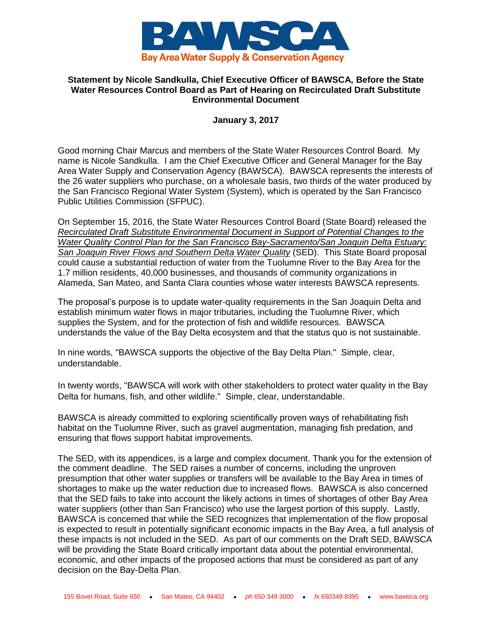

## **Statement by Nicole Sandkulla, Chief Executive Officer of BAWSCA, Before the State Water Resources Control Board as Part of Hearing on Recirculated Draft Substitute Environmental Document**

## **January 3, 2017**

Good morning Chair Marcus and members of the State Water Resources Control Board. My name is Nicole Sandkulla. I am the Chief Executive Officer and General Manager for the Bay Area Water Supply and Conservation Agency (BAWSCA). BAWSCA represents the interests of the 26 water suppliers who purchase, on a wholesale basis, two thirds of the water produced by the San Francisco Regional Water System (System), which is operated by the San Francisco Public Utilities Commission (SFPUC).

On September 15, 2016, the State Water Resources Control Board (State Board) released the *Recirculated Draft Substitute Environmental Document in Support of Potential Changes to the Water Quality Control Plan for the San Francisco Bay-Sacramento/San Joaquin Delta Estuary: San Joaquin River Flows and Southern Delta Water Quality* (SED). This State Board proposal could cause a substantial reduction of water from the Tuolumne River to the Bay Area for the 1.7 million residents, 40,000 businesses, and thousands of community organizations in Alameda, San Mateo, and Santa Clara counties whose water interests BAWSCA represents.

The proposal's purpose is to update water-quality requirements in the San Joaquin Delta and establish minimum water flows in major tributaries, including the Tuolumne River, which supplies the System, and for the protection of fish and wildlife resources. BAWSCA understands the value of the Bay Delta ecosystem and that the status quo is not sustainable.

In nine words, "BAWSCA supports the objective of the Bay Delta Plan." Simple, clear, understandable.

In twenty words, "BAWSCA will work with other stakeholders to protect water quality in the Bay Delta for humans, fish, and other wildlife." Simple, clear, understandable.

BAWSCA is already committed to exploring scientifically proven ways of rehabilitating fish habitat on the Tuolumne River, such as gravel augmentation, managing fish predation, and ensuring that flows support habitat improvements.

The SED, with its appendices, is a large and complex document. Thank you for the extension of the comment deadline. The SED raises a number of concerns, including the unproven presumption that other water supplies or transfers will be available to the Bay Area in times of shortages to make up the water reduction due to increased flows. BAWSCA is also concerned that the SED fails to take into account the likely actions in times of shortages of other Bay Area water suppliers (other than San Francisco) who use the largest portion of this supply. Lastly, BAWSCA is concerned that while the SED recognizes that implementation of the flow proposal is expected to result in potentially significant economic impacts in the Bay Area, a full analysis of these impacts is not included in the SED. As part of our comments on the Draft SED, BAWSCA will be providing the State Board critically important data about the potential environmental, economic, and other impacts of the proposed actions that must be considered as part of any decision on the Bay-Delta Plan.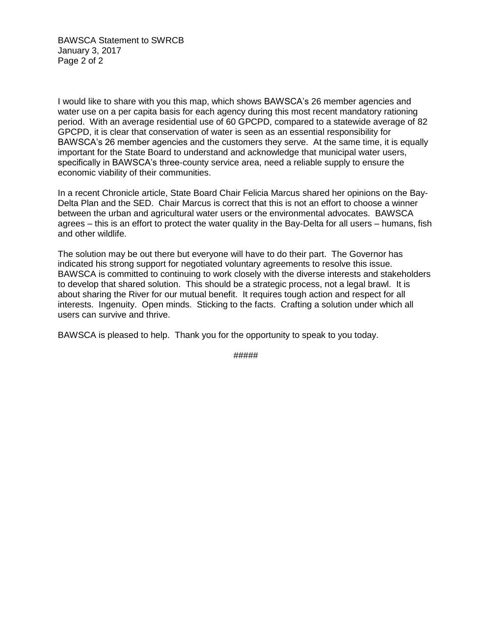BAWSCA Statement to SWRCB January 3, 2017 Page 2 of 2

I would like to share with you this map, which shows BAWSCA's 26 member agencies and water use on a per capita basis for each agency during this most recent mandatory rationing period. With an average residential use of 60 GPCPD, compared to a statewide average of 82 GPCPD, it is clear that conservation of water is seen as an essential responsibility for BAWSCA's 26 member agencies and the customers they serve. At the same time, it is equally important for the State Board to understand and acknowledge that municipal water users, specifically in BAWSCA's three-county service area, need a reliable supply to ensure the economic viability of their communities.

In a recent Chronicle article, State Board Chair Felicia Marcus shared her opinions on the Bay-Delta Plan and the SED. Chair Marcus is correct that this is not an effort to choose a winner between the urban and agricultural water users or the environmental advocates. BAWSCA agrees – this is an effort to protect the water quality in the Bay-Delta for all users – humans, fish and other wildlife.

The solution may be out there but everyone will have to do their part. The Governor has indicated his strong support for negotiated voluntary agreements to resolve this issue. BAWSCA is committed to continuing to work closely with the diverse interests and stakeholders to develop that shared solution. This should be a strategic process, not a legal brawl. It is about sharing the River for our mutual benefit. It requires tough action and respect for all interests. Ingenuity. Open minds. Sticking to the facts. Crafting a solution under which all users can survive and thrive.

BAWSCA is pleased to help. Thank you for the opportunity to speak to you today.

#####